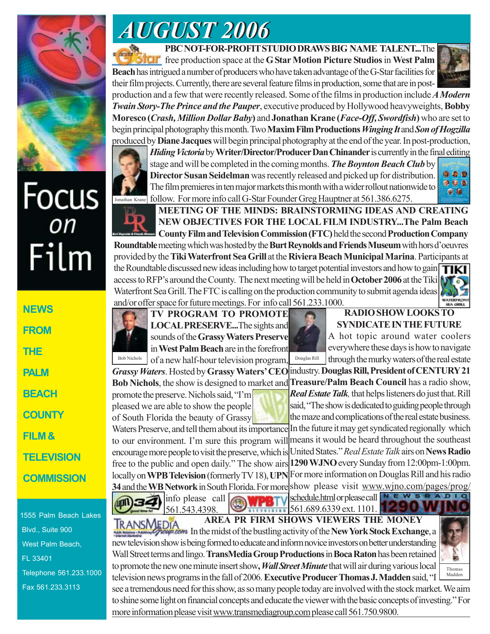

# Focus<br><sub>on</sub> Film

**NEWS FROM THE PALM BEACH COUNTY FILM & TELEVISION COMMISSION**

1555 Palm Beach Lakes Blvd., Suite 900 West Palm Beach, FL 33401 Telephone 561.233.1000 Fax 561.233.3113

## *AUGUST 2006 AUGUST 2006*

**PBC NOT-FOR-PROFIT STUDIO DRAWS BIG NAME TALENT...**The free production space at the **G Star Motion Picture Studios** in **West Palm Beach** has intrigued a number of producers who have taken advantage of the G-Star facilities for their film projects. Currently, there are several feature films in production, some that are in post-



production and a few that were recently released. Some of the films in production include *A Modern Twain Story-The Prince and the Pauper*, executive produced by Hollywood heavyweights, **Bobby Moresco (***Crash, Million Dollar Baby***)** and **Jonathan Krane (***Face-Off, Swordfish***)** who are set to begin principal photography this month. Two **Maxim Film Productions***Winging It* and *Son of Hogzilla* produced by **Diane Jacques** will begin principal photography at the end of the year. In post-production,



*Hiding Victoria* by **Writer/Director/Producer Dan Chinander** is currently in the final editing stage and will be completed in the coming months. *The Boynton Beach Club* by **Director Susan Seidelman** was recently released and picked up for distribution. The film premieres in ten major markets this month with a wider rollout nationwide to follow. For more info call G-Star Founder Greg Hauptner at 561.386.6275.



**MEETING OF THE MINDS: BRAINSTORMING IDEAS AND CREATING NEW OBJECTIVES FOR THE LOCAL FILM INDUSTRY...The Palm Beach County Film and Television Commission (FTC)** held the second **Production Company Roundtable** meeting which was hosted by the **Burt Reynolds and Friends Museum** with hors d'oeuvres

provided by the **Tiki Waterfront Sea Grill** at the **Riviera Beach Municipal Marina**.Participants at the Roundtable discussed new ideas including how to target potential investors and how to gain TIKI access to RFP's around the County. The next meeting will be held in **October 2006** at the Tiki Waterfront Sea Grill. The FTC is calling on the production community to submit agenda ideas and/or offer space for future meetings. For info call 561.233.1000.



#### **RADIO SHOW LOOKS TO SYNDICATE IN THE FUTURE**

A hot topic around water coolers everywhere these days is how to navigate through the murky waters of the real estate

industry. **Douglas Rill, President of CENTURY 21 Treasure/Palm Beach Council** has a radio show, *Real Estate Talk,* that helps listeners do just that. Rill said, "The show is dedicated to guiding people through the maze and complications of the real estate business.

In the future it may get syndicated regionally which means it would be heard throughout the southeast United States." *Real Estate Talk* airs on **News Radio 1290 WJNO** every Sunday from 12:00pm-1:00pm. locally on **WPB Television** (formerly TV 18), UPN For more information on Douglas Rill and his radio **34** and the WB Network in South Florida. For more show please visit www.wjno.com/pages/prog/ of South Florida the beauty of Grassy Waters Preserve, and tell them about its importance to our environment. I'm sure this program will encourage more people to visit the preserve, which is free to the public and open daily." The show airs

linfo please call 561.543.4398.

*Grassy Waters*. Hosted by **Grassy Waters' CEO Bob Nichols**, the show is designed to market and

promote the preserve. Nichols said, "I'm pleased we are able to show the people

schedule.html or please call  $N \subseteq W$  s R A D I O

561.689.6339 ext. 1101.

**AREA PR FIRM SHOWS VIEWERS THE MONEY TRANSMEDIA** In the midst of the bustling activity of the **New York Stock Exchange**, a new television show is being formed to educate and inform novice investors on better understanding Wall Street terms and lingo. **TransMedia Group Productions** in **Boca Raton** has been retained to promote the new one minute insert show, *Wall Street Minute* that will air during various local television news programs in the fall of 2006. **Executive Producer Thomas J. Madden** said, "I



see a tremendous need for this show, as so many people today are involved with the stock market. We aim to shine some light on financial concepts and educate the viewer with the basic concepts of investing." For more information please visit www.transmediagroup.com please call 561.750.9800.